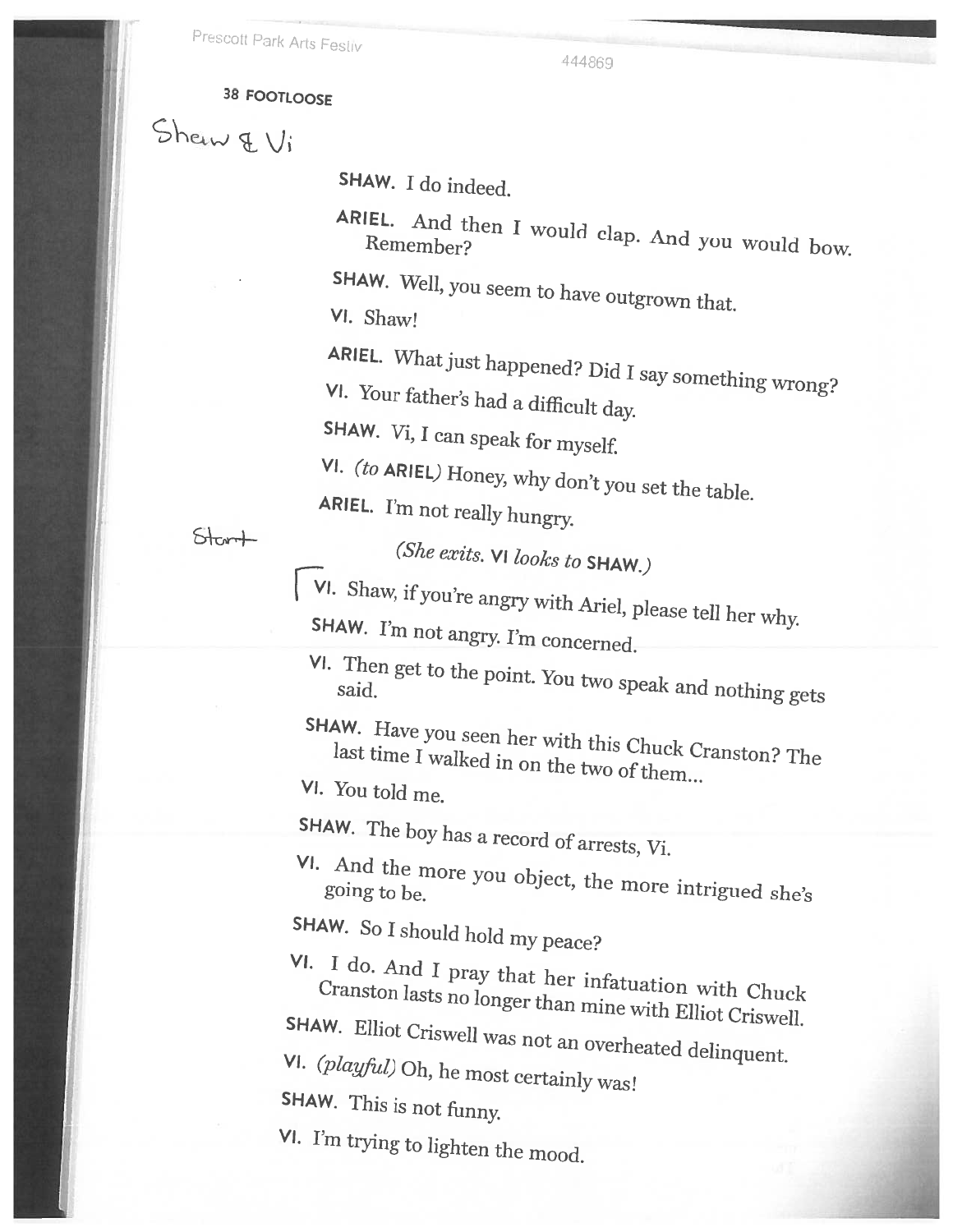444869

# 38 FOOTLOOSE

 $Shew \notin V_i$ 

SHAW. <sup>I</sup> do indeed.

ARIEL. <sup>IEL.</sup> And then I would clap. And you would bow.<br>Remember?

SHAW. Well, you seem to have outgrown that.<br>VI. Shaw!

ARIEL. What just happened? Did I say something wrong?<br>VI. Your father's had a difficult day

SHAW. Vi, I can speak for myself.

VI. (to ARIEL) Honey, why don't you set the table. ARIEL. I'm not really hungry.

 $Start$ 

(She exits. VI looks to SHAW.)<br>
VI. Shaw, if you're angry with Ariel, please tell her why.<br>
SHAW. I'm not angry. I'm concerned.

VI. Then get to the point. You two speak and nothing gets

SHAW. Have you seen her with this Chuck Cranston? The last time I walked in on the two of them...<br>VI. You told me.

SHAW. The boy has a record of arrests, Vi.

VI. And the more you object, the more intrigued she's

SHAW. So <sup>I</sup> should hold my peace?

VI. Cranston <sup>I</sup> do. And lasts Cranston lasts no longer than mine with Elliot Criswell.<br>
SHAW. Elliot Criswell was not an overheated delinquent.<br>
VI. (playful) Oh, he most certainly was!<br>
SHAW. This is not funny.

VI. I'm trying to lighten the mood.